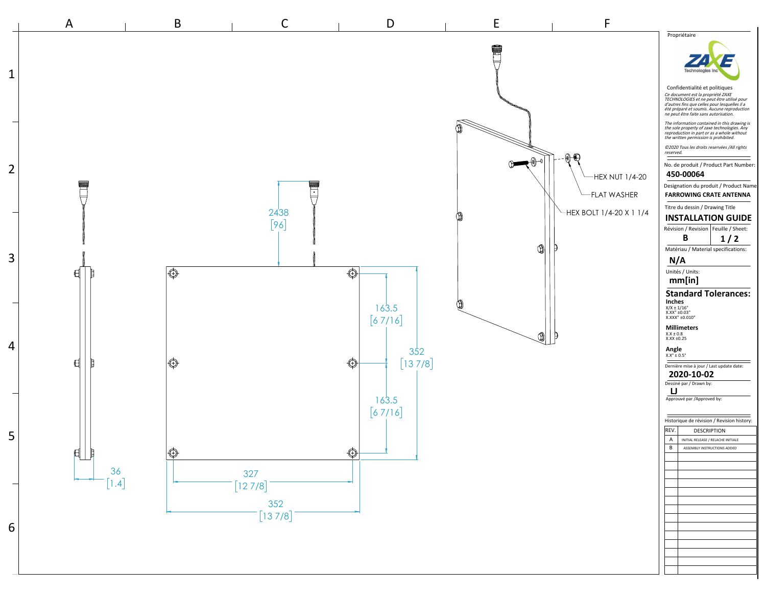

 $(1)$ 

Technoloai Confidentialité et politiques Ce document est la propriété ZAXE TECHNOLOGIES et ne peut être utilisé pour d'autres fins que celles pour lesquelles il a été préparé et soumis. Aucune reproduction ne peut être faite sans autorisation. The information contained in this drawing is the sole property of zaxe technologies. Any reproduction in part or as a whole without the written permission is prohibited. ©2020 Tous les droits reservées /All rights reserved. No. de produit / Product Part Number: **450-00064** Designation du produit / Product Name **FARROWING CRATE ANTENNA** Titre du dessin / Drawing Title **INSTALLATION GUIDE** Révision / Revision | Feuille / Sheet: **1 / 2 B** Matériau / Material specifications: **N/A** Unités / Units: **mm[in] Standard Tolerances: Inches** X/X ± 1/16" X.XX" ±0.03" X.XXX" ±0.010" **Millimeters** X.X ± 0.8 X.XX ±0.25 **Angle** X.X° ± 0.5° Dernière mise à jour / Last update date: **2020-10-02** Dessiné par / Drawn by: **LJ** Approuvé par /Approved by: Historique de révision / Revision history:  $|REV.$  DESCRIPTION A | INITIAL RELEASE / RELACHE INITIALE B | ASSEMBLY INSTRUCTIONS ADDED